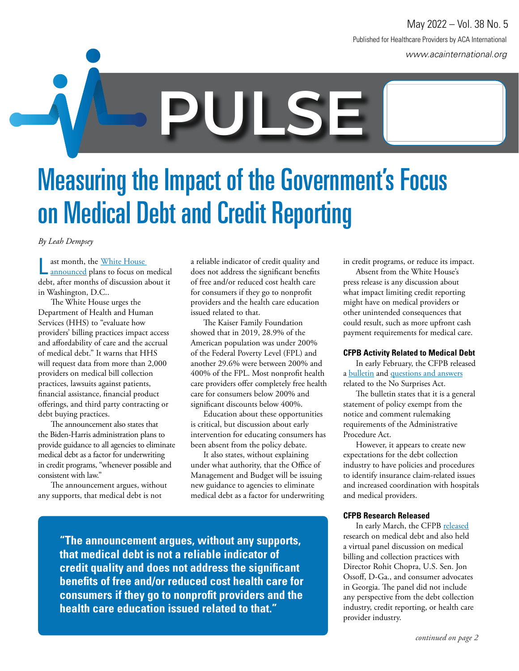www.acainternational.org Published for Healthcare Providers by ACA International May 2022 – Vol. 38 No. 5

**PULSE**

## Measuring the Impact of the Government's Focus on Medical Debt and Credit Reporting

*By Leah Dempsey*

L ast month, the White House announced plans to focus on medical debt, after months of discussion about it in Washington, D.C..

The White House urges the Department of Health and Human Services (HHS) to "evaluate how providers' billing practices impact access and affordability of care and the accrual of medical debt." It warns that HHS will request data from more than 2,000 providers on medical bill collection practices, lawsuits against patients, financial assistance, financial product offerings, and third party contracting or debt buying practices.

The announcement also states that the Biden-Harris administration plans to provide guidance to all agencies to eliminate medical debt as a factor for underwriting in credit programs, "whenever possible and consistent with law."

The announcement argues, without any supports, that medical debt is not

a reliable indicator of credit quality and does not address the significant benefits of free and/or reduced cost health care for consumers if they go to nonprofit providers and the health care education issued related to that.

The Kaiser Family Foundation showed that in 2019, 28.9% of the American population was under 200% of the Federal Poverty Level (FPL) and another 29.6% were between 200% and 400% of the FPL. Most nonprofit health care providers offer completely free health care for consumers below 200% and significant discounts below 400%.

Education about these opportunities is critical, but discussion about early intervention for educating consumers has been absent from the policy debate.

It also states, without explaining under what authority, that the Office of Management and Budget will be issuing new guidance to agencies to eliminate medical debt as a factor for underwriting

**"The announcement argues, without any supports, that medical debt is not a reliable indicator of credit quality and does not address the significant benefits of free and/or reduced cost health care for consumers if they go to nonprofit providers and the health care education issued related to that."**

in credit programs, or reduce its impact.

Absent from the White House's press release is any discussion about what impact limiting credit reporting might have on medical providers or other unintended consequences that could result, such as more upfront cash payment requirements for medical care.

#### **CFPB Activity Related to Medical Debt**

In early February, the CFPB released a bulletin and questions and answers related to the No Surprises Act.

The bulletin states that it is a general statement of policy exempt from the notice and comment rulemaking requirements of the Administrative Procedure Act.

However, it appears to create new expectations for the debt collection industry to have policies and procedures to identify insurance claim-related issues and increased coordination with hospitals and medical providers.

#### **CFPB Research Released**

In early March, the CFPB released research on medical debt and also held a virtual panel discussion on medical billing and collection practices with Director Rohit Chopra, U.S. Sen. Jon Ossoff, D-Ga., and consumer advocates in Georgia. The panel did not include any perspective from the debt collection industry, credit reporting, or health care provider industry.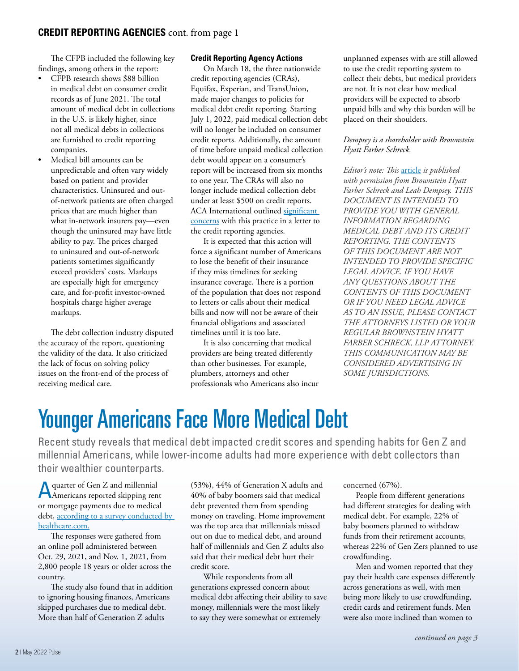The CFPB included the following key findings, among others in the report:

- CFPB research shows \$88 billion in medical debt on consumer credit records as of June 2021. The total amount of medical debt in collections in the U.S. is likely higher, since not all medical debts in collections are furnished to credit reporting companies.
- Medical bill amounts can be unpredictable and often vary widely based on patient and provider characteristics. Uninsured and outof-network patients are often charged prices that are much higher than what in-network insurers pay—even though the uninsured may have little ability to pay. The prices charged to uninsured and out-of-network patients sometimes significantly exceed providers' costs. Markups are especially high for emergency care, and for-profit investor-owned hospitals charge higher average markups.

The debt collection industry disputed the accuracy of the report, questioning the validity of the data. It also criticized the lack of focus on solving policy issues on the front-end of the process of receiving medical care.

#### **Credit Reporting Agency Actions**

On March 18, the three nationwide credit reporting agencies (CRAs), Equifax, Experian, and TransUnion, made major changes to policies for medical debt credit reporting. Starting July 1, 2022, paid medical collection debt will no longer be included on consumer credit reports. Additionally, the amount of time before unpaid medical collection debt would appear on a consumer's report will be increased from six months to one year. The CRAs will also no longer include medical collection debt under at least \$500 on credit reports. ACA International outlined significant concerns with this practice in a letter to the credit reporting agencies.

It is expected that this action will force a significant number of Americans to lose the benefit of their insurance if they miss timelines for seeking insurance coverage. There is a portion of the population that does not respond to letters or calls about their medical bills and now will not be aware of their financial obligations and associated timelines until it is too late.

It is also concerning that medical providers are being treated differently than other businesses. For example, plumbers, attorneys and other professionals who Americans also incur

unplanned expenses with are still allowed to use the credit reporting system to collect their debts, but medical providers are not. It is not clear how medical providers will be expected to absorb unpaid bills and why this burden will be placed on their shoulders.

#### *Dempsey is a shareholder with Brownstein Hyatt Farber Schreck.*

*Editor's note: This* article *is published with permission from Brownstein Hyatt Farber Schreck and Leah Dempsey. THIS DOCUMENT IS INTENDED TO PROVIDE YOU WITH GENERAL INFORMATION REGARDING MEDICAL DEBT AND ITS CREDIT REPORTING. THE CONTENTS OF THIS DOCUMENT ARE NOT INTENDED TO PROVIDE SPECIFIC LEGAL ADVICE. IF YOU HAVE ANY QUESTIONS ABOUT THE CONTENTS OF THIS DOCUMENT OR IF YOU NEED LEGAL ADVICE AS TO AN ISSUE, PLEASE CONTACT THE ATTORNEYS LISTED OR YOUR REGULAR BROWNSTEIN HYATT FARBER SCHRECK, LLP ATTORNEY. THIS COMMUNICATION MAY BE CONSIDERED ADVERTISING IN SOME JURISDICTIONS.*

### Younger Americans Face More Medical Debt

Recent study reveals that medical debt impacted credit scores and spending habits for Gen Z and millennial Americans, while lower-income adults had more experience with debt collectors than their wealthier counterparts.

A quarter of Gen Z and millennial<br>A Americans reported skipping rent quarter of Gen Z and millennial or mortgage payments due to medical debt, according to a survey conducted by healthcare.com.

The responses were gathered from an online poll administered between Oct. 29, 2021, and Nov. 1, 2021, from 2,800 people 18 years or older across the country.

The study also found that in addition to ignoring housing finances, Americans skipped purchases due to medical debt. More than half of Generation Z adults

(53%), 44% of Generation X adults and 40% of baby boomers said that medical debt prevented them from spending money on traveling. Home improvement was the top area that millennials missed out on due to medical debt, and around half of millennials and Gen Z adults also said that their medical debt hurt their credit score.

While respondents from all generations expressed concern about medical debt affecting their ability to save money, millennials were the most likely to say they were somewhat or extremely

concerned (67%).

People from different generations had different strategies for dealing with medical debt. For example, 22% of baby boomers planned to withdraw funds from their retirement accounts, whereas 22% of Gen Zers planned to use crowdfunding.

Men and women reported that they pay their health care expenses differently across generations as well, with men being more likely to use crowdfunding, credit cards and retirement funds. Men were also more inclined than women to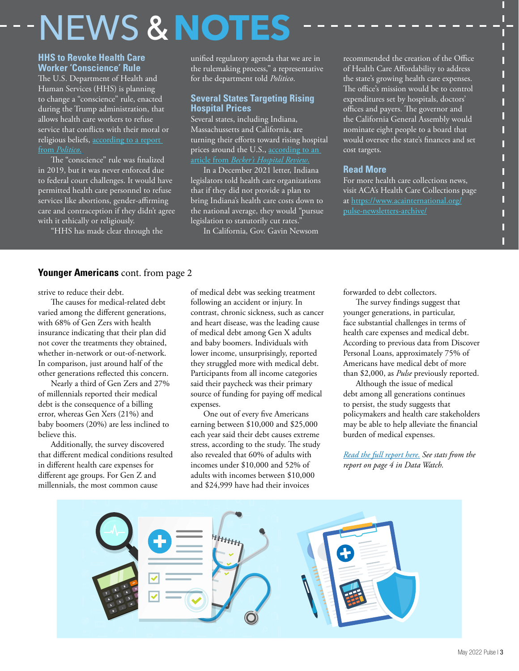## NEWS **&NOTES**

#### **HHS to Revoke Health Care Worker 'Conscience' Rule**

The U.S. Department of Health and Human Services (HHS) is planning to change a "conscience" rule, enacted during the Trump administration, that allows health care workers to refuse service that conflicts with their moral or religious beliefs, according to a report from *Politico*.

The "conscience" rule was finalized in 2019, but it was never enforced due to federal court challenges. It would have permitted health care personnel to refuse services like abortions, gender-affirming care and contraception if they didn't agree with it ethically or religiously.

"HHS has made clear through the

unified regulatory agenda that we are in the rulemaking process," a representative for the department told *Politico*.

#### **Several States Targeting Rising Hospital Prices**

Several states, including Indiana, Massachussetts and California, are turning their efforts toward rising hospital prices around the U.S., according to an article from *Becker's Hospital Review*.

In a December 2021 letter, Indiana legislators told health care organizations that if they did not provide a plan to bring Indiana's health care costs down to the national average, they would "pursue legislation to statutorily cut rates."

In California, Gov. Gavin Newsom

recommended the creation of the Office of Health Care Affordability to address the state's growing health care expenses. The office's mission would be to control expenditures set by hospitals, doctors' offices and payers. The governor and the California General Assembly would nominate eight people to a board that would oversee the state's finances and set cost targets.

П П П

П П П П

П

#### **Read More**

For more health care collections news, visit ACA's Health Care Collections page at https://www.acainternational.org/ pulse-newsletters-archive/

#### **Younger Americans** cont. from page 2

strive to reduce their debt.

The causes for medical-related debt varied among the different generations, with 68% of Gen Zers with health insurance indicating that their plan did not cover the treatments they obtained, whether in-network or out-of-network. In comparison, just around half of the other generations reflected this concern.

Nearly a third of Gen Zers and 27% of millennials reported their medical debt is the consequence of a billing error, whereas Gen Xers (21%) and baby boomers (20%) are less inclined to believe this.

Additionally, the survey discovered that different medical conditions resulted in different health care expenses for different age groups. For Gen Z and millennials, the most common cause

of medical debt was seeking treatment following an accident or injury. In contrast, chronic sickness, such as cancer and heart disease, was the leading cause of medical debt among Gen X adults and baby boomers. Individuals with lower income, unsurprisingly, reported they struggled more with medical debt. Participants from all income categories said their paycheck was their primary source of funding for paying off medical expenses.

One out of every five Americans earning between \$10,000 and \$25,000 each year said their debt causes extreme stress, according to the study. The study also revealed that 60% of adults with incomes under \$10,000 and 52% of adults with incomes between \$10,000 and \$24,999 have had their invoices

forwarded to debt collectors.

The survey findings suggest that younger generations, in particular, face substantial challenges in terms of health care expenses and medical debt. According to previous data from Discover Personal Loans, approximately 75% of Americans have medical debt of more than \$2,000, as *Pulse* previously reported.

Although the issue of medical debt among all generations continues to persist, the study suggests that policymakers and health care stakeholders may be able to help alleviate the financial burden of medical expenses.

*Read the full report here. See stats from the report on page 4 in Data Watch.*